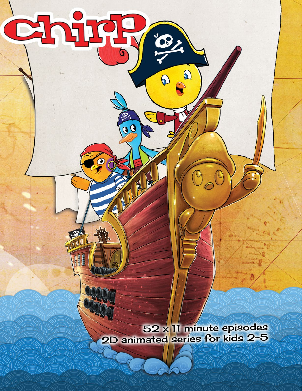52 x 11 minute episodes 2D animated series for kids 2-5

リリル

Ö

 $\overline{\mathbf{0}}$ 

H

Chir